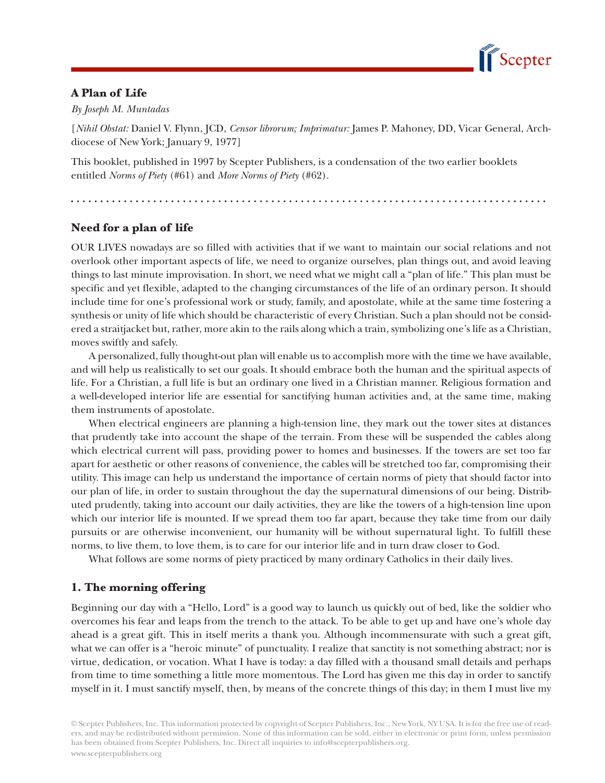

## **A Plan of Life**

*By Joseph M. Muntadas*

[*Nihil Obstat:* Daniel V. Flynn, JCD, *Censor librorum; Imprimatur:* James P. Mahoney, DD, Vicar General, Archdiocese of New York; January 9, 1977]

This booklet, published in 1997 by Scepter Publishers, is a condensation of the two earlier booklets entitled *Norms of Piety* (#61) and *More Norms of Piety* (#62).

. . . . . . . . . . . . . . . . . . . . . . . . . . . . . . . . .

# **Need for a plan of life**

OUR LIVES nowadays are so filled with activities that if we want to maintain our social relations and not overlook other important aspects of life, we need to organize ourselves, plan things out, and avoid leaving things to last minute improvisation. In short, we need what we might call a "plan of life." This plan must be specific and yet flexible, adapted to the changing circumstances of the life of an ordinary person. It should include time for one's professional work or study, family, and apostolate, while at the same time fostering a synthesis or unity of life which should be characteristic of every Christian. Such a plan should not be considered a straitjacket but, rather, more akin to the rails along which a train, symbolizing one's life as a Christian, moves swiftly and safely.

A personalized, fully thought-out plan will enable us to accomplish more with the time we have available, and will help us realistically to set our goals. It should embrace both the human and the spiritual aspects of life. For a Christian, a full life is but an ordinary one lived in a Christian manner. Religious formation and a well-developed interior life are essential for sanctifying human activities and, at the same time, making them instruments of apostolate.

When electrical engineers are planning a high-tension line, they mark out the tower sites at distances that prudently take into account the shape of the terrain. From these will be suspended the cables along which electrical current will pass, providing power to homes and businesses. If the towers are set too far apart for aesthetic or other reasons of convenience, the cables will be stretched too far, compromising their utility. This image can help us understand the importance of certain norms of piety that should factor into our plan of life, in order to sustain throughout the day the supernatural dimensions of our being. Distributed prudently, taking into account our daily activities, they are like the towers of a high-tension line upon which our interior life is mounted. If we spread them too far apart, because they take time from our daily pursuits or are otherwise inconvenient, our humanity will be without supernatural light. To fulfill these norms, to live them, to love them, is to care for our interior life and in turn draw closer to God.

What follows are some norms of piety practiced by many ordinary Catholics in their daily lives.

## **1. The morning offering**

Beginning our day with a "Hello, Lord" is a good way to launch us quickly out of bed, like the soldier who overcomes his fear and leaps from the trench to the attack. To be able to get up and have one's whole day ahead is a great gift. This in itself merits a thank you. Although incommensurate with such a great gift, what we can offer is a "heroic minute" of punctuality. I realize that sanctity is not something abstract; nor is virtue, dedication, or vocation. What I have is today: a day filled with a thousand small details and perhaps from time to time something a little more momentous. The Lord has given me this day in order to sanctify myself in it. I must sanctify myself, then, by means of the concrete things of this day; in them I must live my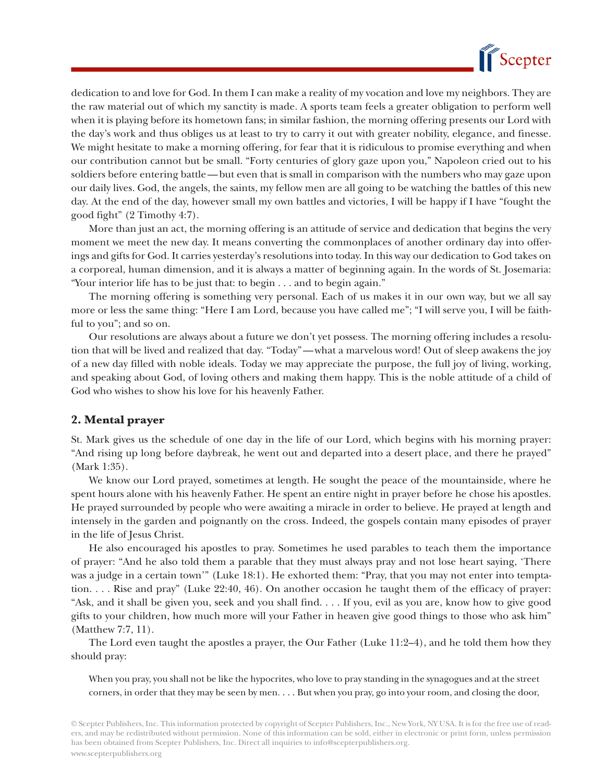

dedication to and love for God. In them I can make a reality of my vocation and love my neighbors. They are the raw material out of which my sanctity is made. A sports team feels a greater obligation to perform well when it is playing before its hometown fans; in similar fashion, the morning offering presents our Lord with the day's work and thus obliges us at least to try to carry it out with greater nobility, elegance, and finesse. We might hesitate to make a morning offering, for fear that it is ridiculous to promise everything and when our contribution cannot but be small. "Forty centuries of glory gaze upon you," Napoleon cried out to his soldiers before entering battle — but even that is small in comparison with the numbers who may gaze upon our daily lives. God, the angels, the saints, my fellow men are all going to be watching the battles of this new day. At the end of the day, however small my own battles and victories, I will be happy if I have "fought the good fight" (2 Timothy 4:7).

More than just an act, the morning offering is an attitude of service and dedication that begins the very moment we meet the new day. It means converting the commonplaces of another ordinary day into offerings and gifts for God. It carries yesterday's resolutions into today. In this way our dedication to God takes on a corporeal, human dimension, and it is always a matter of beginning again. In the words of St. Josemaria: "Your interior life has to be just that: to begin . . . and to begin again."

The morning offering is something very personal. Each of us makes it in our own way, but we all say more or less the same thing: "Here I am Lord, because you have called me"; "I will serve you, I will be faithful to you"; and so on.

Our resolutions are always about a future we don't yet possess. The morning offering includes a resolution that will be lived and realized that day. "Today" — what a marvelous word! Out of sleep awakens the joy of a new day filled with noble ideals. Today we may appreciate the purpose, the full joy of living, working, and speaking about God, of loving others and making them happy. This is the noble attitude of a child of God who wishes to show his love for his heavenly Father.

### **2. Mental prayer**

St. Mark gives us the schedule of one day in the life of our Lord, which begins with his morning prayer: "And rising up long before daybreak, he went out and departed into a desert place, and there he prayed" (Mark 1:35).

We know our Lord prayed, sometimes at length. He sought the peace of the mountainside, where he spent hours alone with his heavenly Father. He spent an entire night in prayer before he chose his apostles. He prayed surrounded by people who were awaiting a miracle in order to believe. He prayed at length and intensely in the garden and poignantly on the cross. Indeed, the gospels contain many episodes of prayer in the life of Jesus Christ.

He also encouraged his apostles to pray. Sometimes he used parables to teach them the importance of prayer: "And he also told them a parable that they must always pray and not lose heart saying, 'There was a judge in a certain town'" (Luke 18:1). He exhorted them: "Pray, that you may not enter into temptation. . . . Rise and pray" (Luke 22:40, 46). On another occasion he taught them of the efficacy of prayer: "Ask, and it shall be given you, seek and you shall find. . . . If you, evil as you are, know how to give good gifts to your children, how much more will your Father in heaven give good things to those who ask him" (Matthew 7:7, 11).

The Lord even taught the apostles a prayer, the Our Father (Luke 11:2–4), and he told them how they should pray:

When you pray, you shall not be like the hypocrites, who love to pray standing in the synagogues and at the street corners, in order that they may be seen by men. . . . But when you pray, go into your room, and closing the door,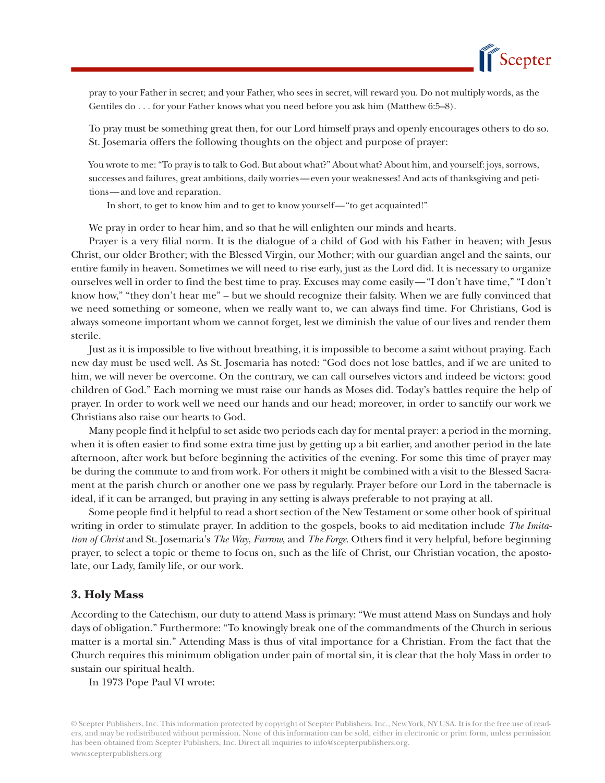

pray to your Father in secret; and your Father, who sees in secret, will reward you. Do not multiply words, as the Gentiles do . . . for your Father knows what you need before you ask him (Matthew 6:5–8).

To pray must be something great then, for our Lord himself prays and openly encourages others to do so. St. Josemaria offers the following thoughts on the object and purpose of prayer:

You wrote to me: "To pray is to talk to God. But about what?" About what? About him, and yourself: joys, sorrows, successes and failures, great ambitions, daily worries — even your weaknesses! And acts of thanksgiving and petitions — and love and reparation.

In short, to get to know him and to get to know yourself — "to get acquainted!"

We pray in order to hear him, and so that he will enlighten our minds and hearts.

Prayer is a very filial norm. It is the dialogue of a child of God with his Father in heaven; with Jesus Christ, our older Brother; with the Blessed Virgin, our Mother; with our guardian angel and the saints, our entire family in heaven. Sometimes we will need to rise early, just as the Lord did. It is necessary to organize ourselves well in order to find the best time to pray. Excuses may come easily — "I don't have time," "I don't know how," "they don't hear me" – but we should recognize their falsity. When we are fully convinced that we need something or someone, when we really want to, we can always find time. For Christians, God is always someone important whom we cannot forget, lest we diminish the value of our lives and render them sterile.

Just as it is impossible to live without breathing, it is impossible to become a saint without praying. Each new day must be used well. As St. Josemaria has noted: "God does not lose battles, and if we are united to him, we will never be overcome. On the contrary, we can call ourselves victors and indeed be victors: good children of God." Each morning we must raise our hands as Moses did. Today's battles require the help of prayer. In order to work well we need our hands and our head; moreover, in order to sanctify our work we Christians also raise our hearts to God.

Many people find it helpful to set aside two periods each day for mental prayer: a period in the morning, when it is often easier to find some extra time just by getting up a bit earlier, and another period in the late afternoon, after work but before beginning the activities of the evening. For some this time of prayer may be during the commute to and from work. For others it might be combined with a visit to the Blessed Sacrament at the parish church or another one we pass by regularly. Prayer before our Lord in the tabernacle is ideal, if it can be arranged, but praying in any setting is always preferable to not praying at all.

Some people find it helpful to read a short section of the New Testament or some other book of spiritual writing in order to stimulate prayer. In addition to the gospels, books to aid meditation include *The Imitation of Christ* and St. Josemaria's *The Way*, *Furrow*, and *The Forge*. Others find it very helpful, before beginning prayer, to select a topic or theme to focus on, such as the life of Christ, our Christian vocation, the apostolate, our Lady, family life, or our work.

#### **3. Holy Mass**

According to the Catechism, our duty to attend Mass is primary: "We must attend Mass on Sundays and holy days of obligation." Furthermore: "To knowingly break one of the commandments of the Church in serious matter is a mortal sin." Attending Mass is thus of vital importance for a Christian. From the fact that the Church requires this minimum obligation under pain of mortal sin, it is clear that the holy Mass in order to sustain our spiritual health.

In 1973 Pope Paul VI wrote: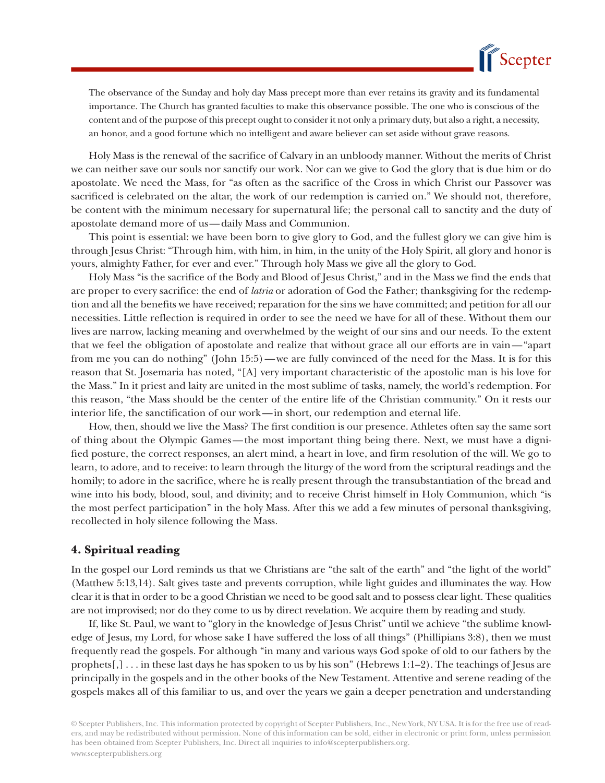

The observance of the Sunday and holy day Mass precept more than ever retains its gravity and its fundamental importance. The Church has granted faculties to make this observance possible. The one who is conscious of the content and of the purpose of this precept ought to consider it not only a primary duty, but also a right, a necessity, an honor, and a good fortune which no intelligent and aware believer can set aside without grave reasons.

Holy Mass is the renewal of the sacrifice of Calvary in an unbloody manner. Without the merits of Christ we can neither save our souls nor sanctify our work. Nor can we give to God the glory that is due him or do apostolate. We need the Mass, for "as often as the sacrifice of the Cross in which Christ our Passover was sacrificed is celebrated on the altar, the work of our redemption is carried on." We should not, therefore, be content with the minimum necessary for supernatural life; the personal call to sanctity and the duty of apostolate demand more of us — daily Mass and Communion.

This point is essential: we have been born to give glory to God, and the fullest glory we can give him is through Jesus Christ: "Through him, with him, in him, in the unity of the Holy Spirit, all glory and honor is yours, almighty Father, for ever and ever." Through holy Mass we give all the glory to God.

Holy Mass "is the sacrifice of the Body and Blood of Jesus Christ," and in the Mass we find the ends that are proper to every sacrifice: the end of *latria* or adoration of God the Father; thanksgiving for the redemption and all the benefits we have received; reparation for the sins we have committed; and petition for all our necessities. Little reflection is required in order to see the need we have for all of these. Without them our lives are narrow, lacking meaning and overwhelmed by the weight of our sins and our needs. To the extent that we feel the obligation of apostolate and realize that without grace all our efforts are in vain — "apart from me you can do nothing" (John 15:5) — we are fully convinced of the need for the Mass. It is for this reason that St. Josemaria has noted, "[A] very important characteristic of the apostolic man is his love for the Mass." In it priest and laity are united in the most sublime of tasks, namely, the world's redemption. For this reason, "the Mass should be the center of the entire life of the Christian community." On it rests our interior life, the sanctification of our work — in short, our redemption and eternal life.

How, then, should we live the Mass? The first condition is our presence. Athletes often say the same sort of thing about the Olympic Games — the most important thing being there. Next, we must have a dignified posture, the correct responses, an alert mind, a heart in love, and firm resolution of the will. We go to learn, to adore, and to receive: to learn through the liturgy of the word from the scriptural readings and the homily; to adore in the sacrifice, where he is really present through the transubstantiation of the bread and wine into his body, blood, soul, and divinity; and to receive Christ himself in Holy Communion, which "is the most perfect participation" in the holy Mass. After this we add a few minutes of personal thanksgiving, recollected in holy silence following the Mass.

#### **4. Spiritual reading**

In the gospel our Lord reminds us that we Christians are "the salt of the earth" and "the light of the world" (Matthew 5:13,14). Salt gives taste and prevents corruption, while light guides and illuminates the way. How clear it is that in order to be a good Christian we need to be good salt and to possess clear light. These qualities are not improvised; nor do they come to us by direct revelation. We acquire them by reading and study.

If, like St. Paul, we want to "glory in the knowledge of Jesus Christ" until we achieve "the sublime knowledge of Jesus, my Lord, for whose sake I have suffered the loss of all things" (Phillipians 3:8), then we must frequently read the gospels. For although "in many and various ways God spoke of old to our fathers by the prophets[,] . . . in these last days he has spoken to us by his son" (Hebrews 1:1–2). The teachings of Jesus are principally in the gospels and in the other books of the New Testament. Attentive and serene reading of the gospels makes all of this familiar to us, and over the years we gain a deeper penetration and understanding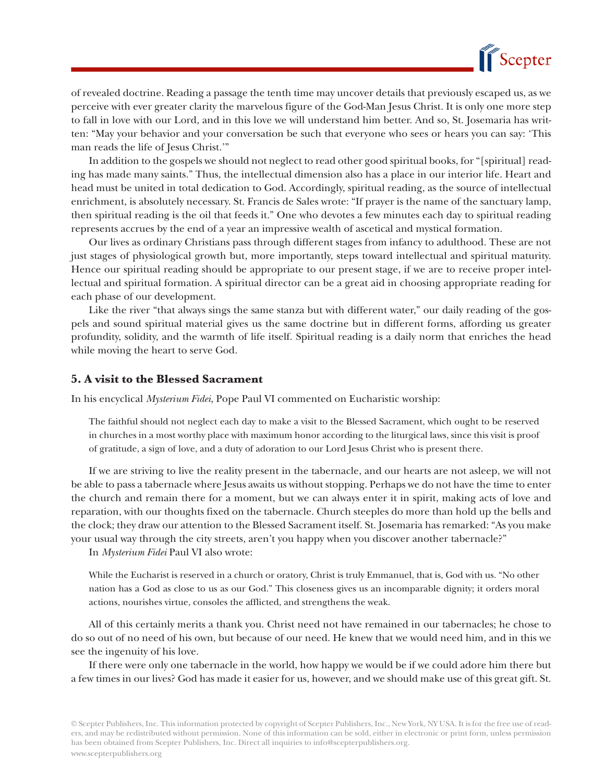

of revealed doctrine. Reading a passage the tenth time may uncover details that previously escaped us, as we perceive with ever greater clarity the marvelous figure of the God-Man Jesus Christ. It is only one more step to fall in love with our Lord, and in this love we will understand him better. And so, St. Josemaria has written: "May your behavior and your conversation be such that everyone who sees or hears you can say: 'This man reads the life of Jesus Christ.'"

In addition to the gospels we should not neglect to read other good spiritual books, for "[spiritual] reading has made many saints." Thus, the intellectual dimension also has a place in our interior life. Heart and head must be united in total dedication to God. Accordingly, spiritual reading, as the source of intellectual enrichment, is absolutely necessary. St. Francis de Sales wrote: "If prayer is the name of the sanctuary lamp, then spiritual reading is the oil that feeds it." One who devotes a few minutes each day to spiritual reading represents accrues by the end of a year an impressive wealth of ascetical and mystical formation.

Our lives as ordinary Christians pass through different stages from infancy to adulthood. These are not just stages of physiological growth but, more importantly, steps toward intellectual and spiritual maturity. Hence our spiritual reading should be appropriate to our present stage, if we are to receive proper intellectual and spiritual formation. A spiritual director can be a great aid in choosing appropriate reading for each phase of our development.

Like the river "that always sings the same stanza but with different water," our daily reading of the gospels and sound spiritual material gives us the same doctrine but in different forms, affording us greater profundity, solidity, and the warmth of life itself. Spiritual reading is a daily norm that enriches the head while moving the heart to serve God.

#### **5. A visit to the Blessed Sacrament**

In his encyclical *Mysterium Fidei*, Pope Paul VI commented on Eucharistic worship:

The faithful should not neglect each day to make a visit to the Blessed Sacrament, which ought to be reserved in churches in a most worthy place with maximum honor according to the liturgical laws, since this visit is proof of gratitude, a sign of love, and a duty of adoration to our Lord Jesus Christ who is present there.

If we are striving to live the reality present in the tabernacle, and our hearts are not asleep, we will not be able to pass a tabernacle where Jesus awaits us without stopping. Perhaps we do not have the time to enter the church and remain there for a moment, but we can always enter it in spirit, making acts of love and reparation, with our thoughts fixed on the tabernacle. Church steeples do more than hold up the bells and the clock; they draw our attention to the Blessed Sacrament itself. St. Josemaria has remarked: "As you make your usual way through the city streets, aren't you happy when you discover another tabernacle?"

In *Mysterium Fidei* Paul VI also wrote:

While the Eucharist is reserved in a church or oratory, Christ is truly Emmanuel, that is, God with us. "No other nation has a God as close to us as our God." This closeness gives us an incomparable dignity; it orders moral actions, nourishes virtue, consoles the afflicted, and strengthens the weak.

All of this certainly merits a thank you. Christ need not have remained in our tabernacles; he chose to do so out of no need of his own, but because of our need. He knew that we would need him, and in this we see the ingenuity of his love.

If there were only one tabernacle in the world, how happy we would be if we could adore him there but a few times in our lives? God has made it easier for us, however, and we should make use of this great gift. St.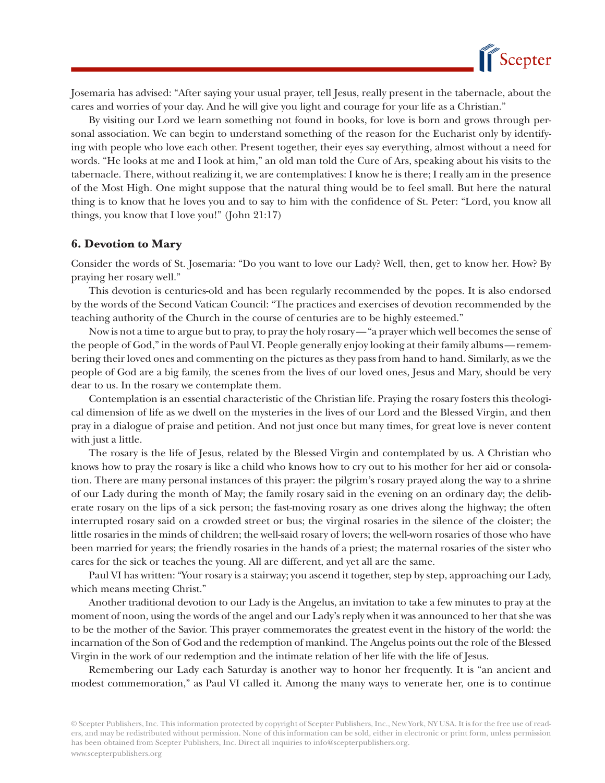

Josemaria has advised: "After saying your usual prayer, tell Jesus, really present in the tabernacle, about the cares and worries of your day. And he will give you light and courage for your life as a Christian."

By visiting our Lord we learn something not found in books, for love is born and grows through personal association. We can begin to understand something of the reason for the Eucharist only by identifying with people who love each other. Present together, their eyes say everything, almost without a need for words. "He looks at me and I look at him," an old man told the Cure of Ars, speaking about his visits to the tabernacle. There, without realizing it, we are contemplatives: I know he is there; I really am in the presence of the Most High. One might suppose that the natural thing would be to feel small. But here the natural thing is to know that he loves you and to say to him with the confidence of St. Peter: "Lord, you know all things, you know that I love you!" (John 21:17)

#### **6. Devotion to Mary**

Consider the words of St. Josemaria: "Do you want to love our Lady? Well, then, get to know her. How? By praying her rosary well."

This devotion is centuries-old and has been regularly recommended by the popes. It is also endorsed by the words of the Second Vatican Council: "The practices and exercises of devotion recommended by the teaching authority of the Church in the course of centuries are to be highly esteemed."

Now is not a time to argue but to pray, to pray the holy rosary — "a prayer which well becomes the sense of the people of God," in the words of Paul VI. People generally enjoy looking at their family albums — remembering their loved ones and commenting on the pictures as they pass from hand to hand. Similarly, as we the people of God are a big family, the scenes from the lives of our loved ones, Jesus and Mary, should be very dear to us. In the rosary we contemplate them.

Contemplation is an essential characteristic of the Christian life. Praying the rosary fosters this theological dimension of life as we dwell on the mysteries in the lives of our Lord and the Blessed Virgin, and then pray in a dialogue of praise and petition. And not just once but many times, for great love is never content with just a little.

The rosary is the life of Jesus, related by the Blessed Virgin and contemplated by us. A Christian who knows how to pray the rosary is like a child who knows how to cry out to his mother for her aid or consolation. There are many personal instances of this prayer: the pilgrim's rosary prayed along the way to a shrine of our Lady during the month of May; the family rosary said in the evening on an ordinary day; the deliberate rosary on the lips of a sick person; the fast-moving rosary as one drives along the highway; the often interrupted rosary said on a crowded street or bus; the virginal rosaries in the silence of the cloister; the little rosaries in the minds of children; the well-said rosary of lovers; the well-worn rosaries of those who have been married for years; the friendly rosaries in the hands of a priest; the maternal rosaries of the sister who cares for the sick or teaches the young. All are different, and yet all are the same.

Paul VI has written: "Your rosary is a stairway; you ascend it together, step by step, approaching our Lady, which means meeting Christ."

Another traditional devotion to our Lady is the Angelus, an invitation to take a few minutes to pray at the moment of noon, using the words of the angel and our Lady's reply when it was announced to her that she was to be the mother of the Savior. This prayer commemorates the greatest event in the history of the world: the incarnation of the Son of God and the redemption of mankind. The Angelus points out the role of the Blessed Virgin in the work of our redemption and the intimate relation of her life with the life of Jesus.

Remembering our Lady each Saturday is another way to honor her frequently. It is "an ancient and modest commemoration," as Paul VI called it. Among the many ways to venerate her, one is to continue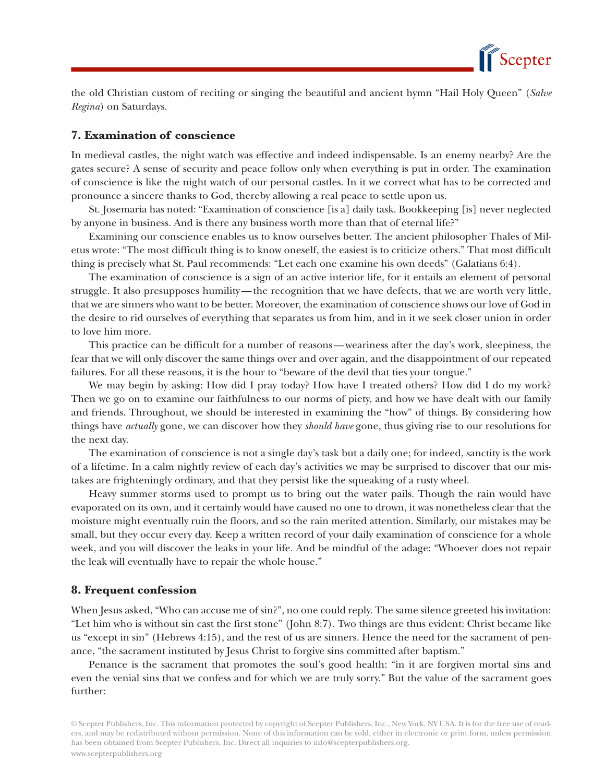

the old Christian custom of reciting or singing the beautiful and ancient hymn "Hail Holy Queen" (*Salve Regina*) on Saturdays.

## **7. Examination of conscience**

In medieval castles, the night watch was effective and indeed indispensable. Is an enemy nearby? Are the gates secure? A sense of security and peace follow only when everything is put in order. The examination of conscience is like the night watch of our personal castles. In it we correct what has to be corrected and pronounce a sincere thanks to God, thereby allowing a real peace to settle upon us.

St. Josemaria has noted: "Examination of conscience [is a] daily task. Bookkeeping [is] never neglected by anyone in business. And is there any business worth more than that of eternal life?"

Examining our conscience enables us to know ourselves better. The ancient philosopher Thales of Miletus wrote: "The most difficult thing is to know oneself, the easiest is to criticize others." That most difficult thing is precisely what St. Paul recommends: "Let each one examine his own deeds" (Galatians 6:4).

The examination of conscience is a sign of an active interior life, for it entails an element of personal struggle. It also presupposes humility — the recognition that we have defects, that we are worth very little, that we are sinners who want to be better. Moreover, the examination of conscience shows our love of God in the desire to rid ourselves of everything that separates us from him, and in it we seek closer union in order to love him more.

This practice can be difficult for a number of reasons — weariness after the day's work, sleepiness, the fear that we will only discover the same things over and over again, and the disappointment of our repeated failures. For all these reasons, it is the hour to "beware of the devil that ties your tongue."

We may begin by asking: How did I pray today? How have I treated others? How did I do my work? Then we go on to examine our faithfulness to our norms of piety, and how we have dealt with our family and friends. Throughout, we should be interested in examining the "how" of things. By considering how things have *actually* gone, we can discover how they *should have* gone, thus giving rise to our resolutions for the next day.

The examination of conscience is not a single day's task but a daily one; for indeed, sanctity is the work of a lifetime. In a calm nightly review of each day's activities we may be surprised to discover that our mistakes are frighteningly ordinary, and that they persist like the squeaking of a rusty wheel.

Heavy summer storms used to prompt us to bring out the water pails. Though the rain would have evaporated on its own, and it certainly would have caused no one to drown, it was nonetheless clear that the moisture might eventually ruin the floors, and so the rain merited attention. Similarly, our mistakes may be small, but they occur every day. Keep a written record of your daily examination of conscience for a whole week, and you will discover the leaks in your life. And be mindful of the adage: "Whoever does not repair the leak will eventually have to repair the whole house."

#### **8. Frequent confession**

When Jesus asked, "Who can accuse me of sin?", no one could reply. The same silence greeted his invitation: "Let him who is without sin cast the first stone" (John 8:7). Two things are thus evident: Christ became like us "except in sin" (Hebrews 4:15), and the rest of us are sinners. Hence the need for the sacrament of penance, "the sacrament instituted by Jesus Christ to forgive sins committed after baptism."

Penance is the sacrament that promotes the soul's good health: "in it are forgiven mortal sins and even the venial sins that we confess and for which we are truly sorry." But the value of the sacrament goes further: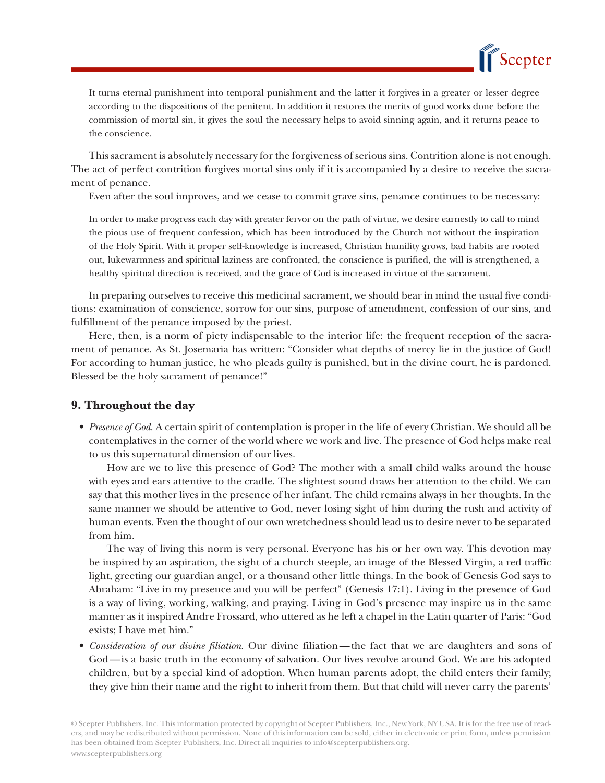

It turns eternal punishment into temporal punishment and the latter it forgives in a greater or lesser degree according to the dispositions of the penitent. In addition it restores the merits of good works done before the commission of mortal sin, it gives the soul the necessary helps to avoid sinning again, and it returns peace to the conscience.

This sacrament is absolutely necessary for the forgiveness of serious sins. Contrition alone is not enough. The act of perfect contrition forgives mortal sins only if it is accompanied by a desire to receive the sacrament of penance.

Even after the soul improves, and we cease to commit grave sins, penance continues to be necessary:

In order to make progress each day with greater fervor on the path of virtue, we desire earnestly to call to mind the pious use of frequent confession, which has been introduced by the Church not without the inspiration of the Holy Spirit. With it proper self-knowledge is increased, Christian humility grows, bad habits are rooted out, lukewarmness and spiritual laziness are confronted, the conscience is purified, the will is strengthened, a healthy spiritual direction is received, and the grace of God is increased in virtue of the sacrament.

In preparing ourselves to receive this medicinal sacrament, we should bear in mind the usual five conditions: examination of conscience, sorrow for our sins, purpose of amendment, confession of our sins, and fulfillment of the penance imposed by the priest.

Here, then, is a norm of piety indispensable to the interior life: the frequent reception of the sacrament of penance. As St. Josemaria has written: "Consider what depths of mercy lie in the justice of God! For according to human justice, he who pleads guilty is punished, but in the divine court, he is pardoned. Blessed be the holy sacrament of penance!"

### **9. Throughout the day**

 • *Presence of God*. A certain spirit of contemplation is proper in the life of every Christian. We should all be contemplatives in the corner of the world where we work and live. The presence of God helps make real to us this supernatural dimension of our lives.

How are we to live this presence of God? The mother with a small child walks around the house with eyes and ears attentive to the cradle. The slightest sound draws her attention to the child. We can say that this mother lives in the presence of her infant. The child remains always in her thoughts. In the same manner we should be attentive to God, never losing sight of him during the rush and activity of human events. Even the thought of our own wretchedness should lead us to desire never to be separated from him.

The way of living this norm is very personal. Everyone has his or her own way. This devotion may be inspired by an aspiration, the sight of a church steeple, an image of the Blessed Virgin, a red traffic light, greeting our guardian angel, or a thousand other little things. In the book of Genesis God says to Abraham: "Live in my presence and you will be perfect" (Genesis 17:1). Living in the presence of God is a way of living, working, walking, and praying. Living in God's presence may inspire us in the same manner as it inspired Andre Frossard, who uttered as he left a chapel in the Latin quarter of Paris: "God exists; I have met him."

 • *Consideration of our divine filiation*. Our divine filiation — the fact that we are daughters and sons of God — is a basic truth in the economy of salvation. Our lives revolve around God. We are his adopted children, but by a special kind of adoption. When human parents adopt, the child enters their family; they give him their name and the right to inherit from them. But that child will never carry the parents'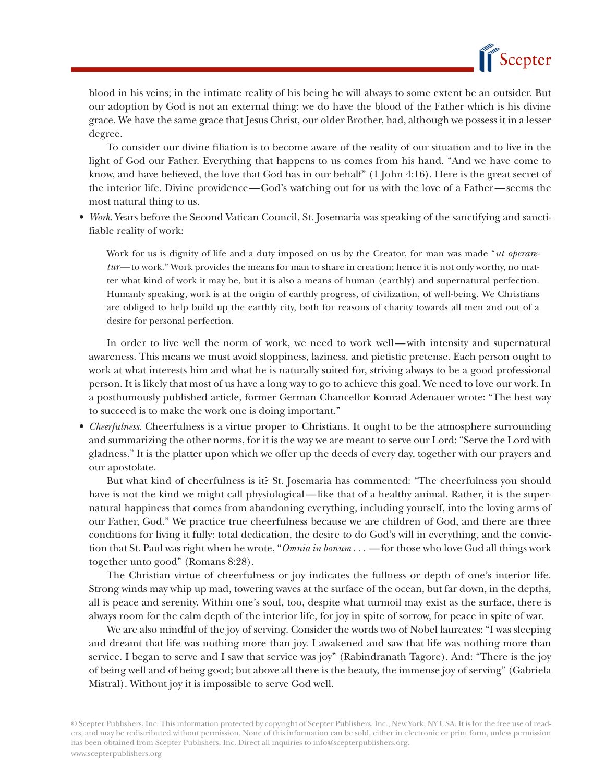

blood in his veins; in the intimate reality of his being he will always to some extent be an outsider. But our adoption by God is not an external thing: we do have the blood of the Father which is his divine grace. We have the same grace that Jesus Christ, our older Brother, had, although we possess it in a lesser degree.

To consider our divine filiation is to become aware of the reality of our situation and to live in the light of God our Father. Everything that happens to us comes from his hand. "And we have come to know, and have believed, the love that God has in our behalf" (1 John 4:16). Here is the great secret of the interior life. Divine providence — God's watching out for us with the love of a Father — seems the most natural thing to us.

• *Work*. Years before the Second Vatican Council, St. Josemaria was speaking of the sanctifying and sanctifiable reality of work:

Work for us is dignity of life and a duty imposed on us by the Creator, for man was made "*ut operaretur*—to work." Work provides the means for man to share in creation; hence it is not only worthy, no matter what kind of work it may be, but it is also a means of human (earthly) and supernatural perfection. Humanly speaking, work is at the origin of earthly progress, of civilization, of well-being. We Christians are obliged to help build up the earthly city, both for reasons of charity towards all men and out of a desire for personal perfection.

In order to live well the norm of work, we need to work well—with intensity and supernatural awareness. This means we must avoid sloppiness, laziness, and pietistic pretense. Each person ought to work at what interests him and what he is naturally suited for, striving always to be a good professional person. It is likely that most of us have a long way to go to achieve this goal. We need to love our work. In a posthumously published article, former German Chancellor Konrad Adenauer wrote: "The best way to succeed is to make the work one is doing important."

 • *Cheerfulness*. Cheerfulness is a virtue proper to Christians. It ought to be the atmosphere surrounding and summarizing the other norms, for it is the way we are meant to serve our Lord: "Serve the Lord with gladness." It is the platter upon which we offer up the deeds of every day, together with our prayers and our apostolate.

But what kind of cheerfulness is it? St. Josemaria has commented: "The cheerfulness you should have is not the kind we might call physiological—like that of a healthy animal. Rather, it is the supernatural happiness that comes from abandoning everything, including yourself, into the loving arms of our Father, God." We practice true cheerfulness because we are children of God, and there are three conditions for living it fully: total dedication, the desire to do God's will in everything, and the conviction that St. Paul was right when he wrote, "*Omnia in bonum* . . . — for those who love God all things work together unto good" (Romans 8:28).

The Christian virtue of cheerfulness or joy indicates the fullness or depth of one's interior life. Strong winds may whip up mad, towering waves at the surface of the ocean, but far down, in the depths, all is peace and serenity. Within one's soul, too, despite what turmoil may exist as the surface, there is always room for the calm depth of the interior life, for joy in spite of sorrow, for peace in spite of war.

We are also mindful of the joy of serving. Consider the words two of Nobel laureates: "I was sleeping and dreamt that life was nothing more than joy. I awakened and saw that life was nothing more than service. I began to serve and I saw that service was joy" (Rabindranath Tagore). And: "There is the joy of being well and of being good; but above all there is the beauty, the immense joy of serving" (Gabriela Mistral). Without joy it is impossible to serve God well.